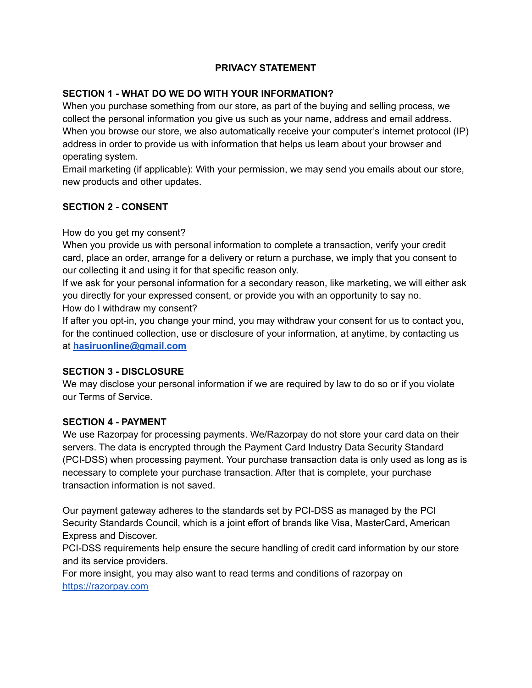# **PRIVACY STATEMENT**

#### **SECTION 1 - WHAT DO WE DO WITH YOUR INFORMATION?**

When you purchase something from our store, as part of the buying and selling process, we collect the personal information you give us such as your name, address and email address. When you browse our store, we also automatically receive your computer's internet protocol (IP) address in order to provide us with information that helps us learn about your browser and operating system.

Email marketing (if applicable): With your permission, we may send you emails about our store, new products and other updates.

#### **SECTION 2 - CONSENT**

How do you get my consent?

When you provide us with personal information to complete a transaction, verify your credit card, place an order, arrange for a delivery or return a purchase, we imply that you consent to our collecting it and using it for that specific reason only.

If we ask for your personal information for a secondary reason, like marketing, we will either ask you directly for your expressed consent, or provide you with an opportunity to say no. How do I withdraw my consent?

If after you opt-in, you change your mind, you may withdraw your consent for us to contact you, for the continued collection, use or disclosure of your information, at anytime, by contacting us at **[hasiruonline@gmail.com](mailto:hasiruonline@gmail.com)**

# **SECTION 3 - DISCLOSURE**

We may disclose your personal information if we are required by law to do so or if you violate our Terms of Service.

# **SECTION 4 - PAYMENT**

We use Razorpay for processing payments. We/Razorpay do not store your card data on their servers. The data is encrypted through the Payment Card Industry Data Security Standard (PCI-DSS) when processing payment. Your purchase transaction data is only used as long as is necessary to complete your purchase transaction. After that is complete, your purchase transaction information is not saved.

Our payment gateway adheres to the standards set by PCI-DSS as managed by the PCI Security Standards Council, which is a joint effort of brands like Visa, MasterCard, American Express and Discover.

PCI-DSS requirements help ensure the secure handling of credit card information by our store and its service providers.

For more insight, you may also want to read terms and conditions of razorpay on <https://razorpay.com>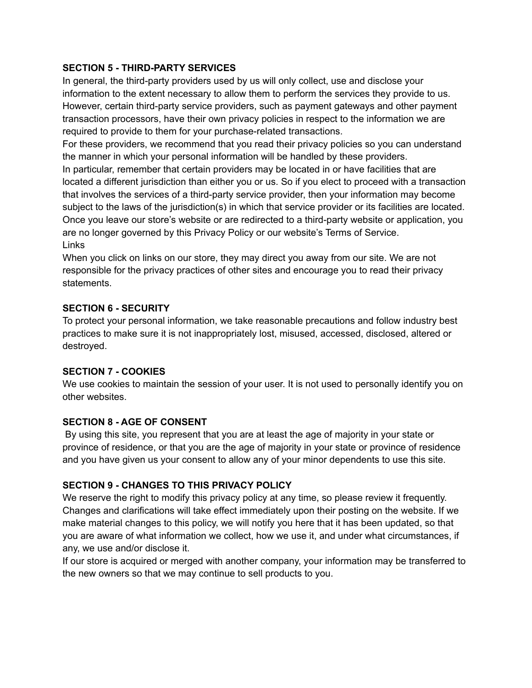#### **SECTION 5 - THIRD-PARTY SERVICES**

In general, the third-party providers used by us will only collect, use and disclose your information to the extent necessary to allow them to perform the services they provide to us. However, certain third-party service providers, such as payment gateways and other payment transaction processors, have their own privacy policies in respect to the information we are required to provide to them for your purchase-related transactions.

For these providers, we recommend that you read their privacy policies so you can understand the manner in which your personal information will be handled by these providers.

In particular, remember that certain providers may be located in or have facilities that are located a different jurisdiction than either you or us. So if you elect to proceed with a transaction that involves the services of a third-party service provider, then your information may become subject to the laws of the jurisdiction(s) in which that service provider or its facilities are located. Once you leave our store's website or are redirected to a third-party website or application, you are no longer governed by this Privacy Policy or our website's Terms of Service. Links

When you click on links on our store, they may direct you away from our site. We are not responsible for the privacy practices of other sites and encourage you to read their privacy statements.

# **SECTION 6 - SECURITY**

To protect your personal information, we take reasonable precautions and follow industry best practices to make sure it is not inappropriately lost, misused, accessed, disclosed, altered or destroyed.

# **SECTION 7 - COOKIES**

We use cookies to maintain the session of your user. It is not used to personally identify you on other websites.

#### **SECTION 8 - AGE OF CONSENT**

By using this site, you represent that you are at least the age of majority in your state or province of residence, or that you are the age of majority in your state or province of residence and you have given us your consent to allow any of your minor dependents to use this site.

# **SECTION 9 - CHANGES TO THIS PRIVACY POLICY**

We reserve the right to modify this privacy policy at any time, so please review it frequently. Changes and clarifications will take effect immediately upon their posting on the website. If we make material changes to this policy, we will notify you here that it has been updated, so that you are aware of what information we collect, how we use it, and under what circumstances, if any, we use and/or disclose it.

If our store is acquired or merged with another company, your information may be transferred to the new owners so that we may continue to sell products to you.